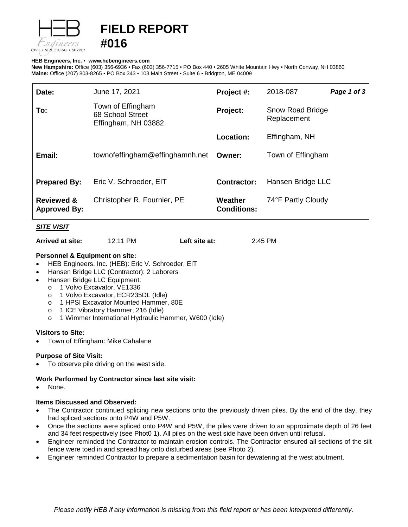

# **FIELD REPORT #016**

## **HEB Engineers, Inc.** • **[www.hebengineer](http://www.hebengineers.com/)s.com**

**New Hampshire:** Office (603) 356-6936 • Fax (603) 356-7715 • PO Box 440 • 2605 White Mountain Hwy • North Conway, NH 03860 **Maine:** Office (207) 803-8265 • PO Box 343 • 103 Main Street • Suite 6 • Bridgton, ME 04009

| Date:                                        | June 17, 2021                                                | Project #:                    | 2018-087                               | Page 1 of 3 |
|----------------------------------------------|--------------------------------------------------------------|-------------------------------|----------------------------------------|-------------|
| To:                                          | Town of Effingham<br>68 School Street<br>Effingham, NH 03882 | Project:                      | <b>Snow Road Bridge</b><br>Replacement |             |
|                                              |                                                              | Location:                     | Effingham, NH                          |             |
| Email:                                       | townofeffingham@effinghamnh.net                              | Owner:                        | Town of Effingham                      |             |
|                                              |                                                              |                               |                                        |             |
| <b>Prepared By:</b>                          | Eric V. Schroeder, EIT                                       | <b>Contractor:</b>            | Hansen Bridge LLC                      |             |
| <b>Reviewed &amp;</b><br><b>Approved By:</b> | Christopher R. Fournier, PE                                  | Weather<br><b>Conditions:</b> | 74°F Partly Cloudy                     |             |

# *SITE VISIT*

**Arrived at site:** 12:11 PM **Left site at:** 2:45 PM

# **Personnel & Equipment on site:**

- HEB Engineers, Inc. (HEB): Eric V. Schroeder, EIT
- Hansen Bridge LLC (Contractor): 2 Laborers
- Hansen Bridge LLC Equipment:
	- o 1 Volvo Excavator, VE1336
	- o 1 Volvo Excavator, ECR235DL (Idle)
	- o 1 HPSI Excavator Mounted Hammer, 80E
	- o 1 ICE Vibratory Hammer, 216 (Idle)<br>o 1 Wimmer International Hydraulic H
	- 1 Wimmer International Hydraulic Hammer, W600 (Idle)

## **Visitors to Site:**

• Town of Effingham: Mike Cahalane

# **Purpose of Site Visit:**

To observe pile driving on the west side.

# **Work Performed by Contractor since last site visit:**

None.

## **Items Discussed and Observed:**

- The Contractor continued splicing new sections onto the previously driven piles. By the end of the day, they had spliced sections onto P4W and P5W.
- Once the sections were spliced onto P4W and P5W, the piles were driven to an approximate depth of 26 feet and 34 feet respectively (see Phot0 1). All piles on the west side have been driven until refusal.
- Engineer reminded the Contractor to maintain erosion controls. The Contractor ensured all sections of the silt fence were toed in and spread hay onto disturbed areas (see Photo 2).
- Engineer reminded Contractor to prepare a sedimentation basin for dewatering at the west abutment.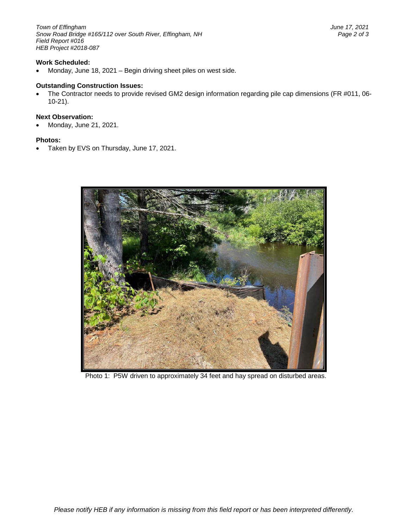*Town of Effingham June 17, 2021 Snow Road Bridge #165/112 over South River, Effingham, NH Page 2 of 3 Field Report #016 HEB Project #2018-087*

## **Work Scheduled:**

• Monday, June 18, 2021 – Begin driving sheet piles on west side.

#### **Outstanding Construction Issues:**

• The Contractor needs to provide revised GM2 design information regarding pile cap dimensions (FR #011, 06- 10-21).

# **Next Observation:**

• Monday, June 21, 2021.

#### **Photos:**

• Taken by EVS on Thursday, June 17, 2021.



Photo 1: P5W driven to approximately 34 feet and hay spread on disturbed areas.